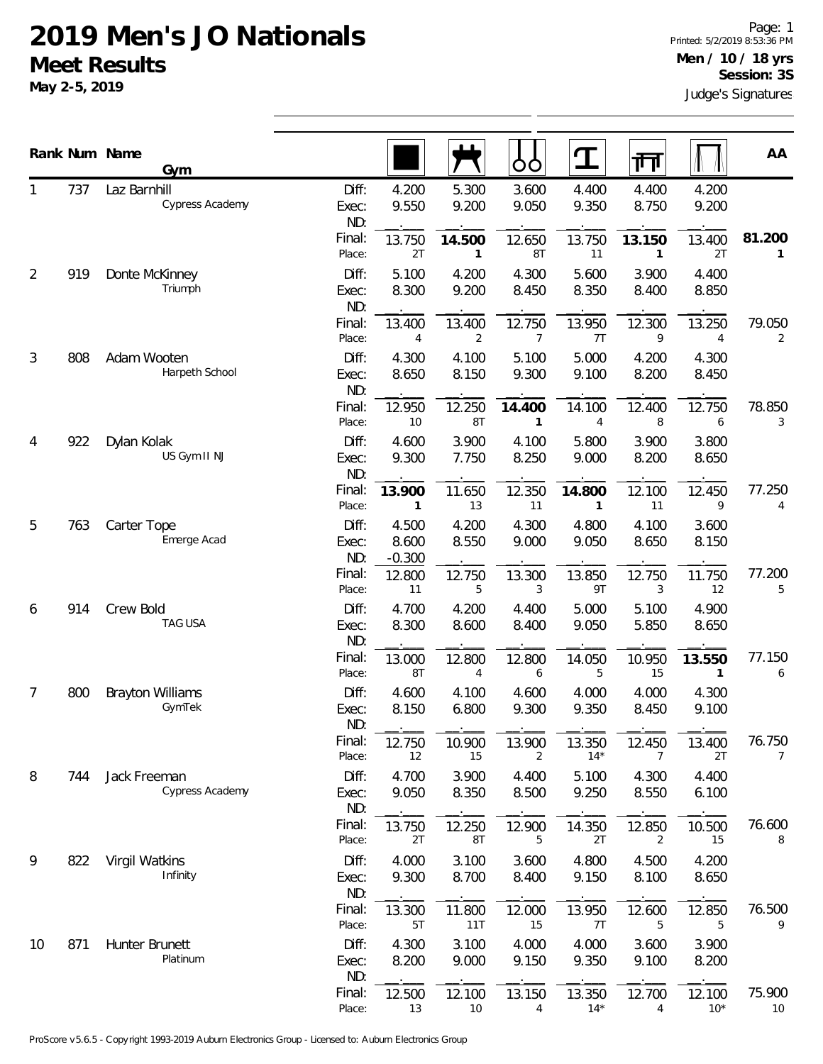## **2019 Men's JO Nationals Meet Results**

**May 2-5, 2019**

|                |     | Rank Num Name<br>Gym              |                       |                            |                  | OC                     |                        | गि                     |                 | AA                     |
|----------------|-----|-----------------------------------|-----------------------|----------------------------|------------------|------------------------|------------------------|------------------------|-----------------|------------------------|
|                | 737 | Laz Barnhill<br>Cypress Academy   | Diff:<br>Exec:<br>ND: | 4.200<br>9.550             | 5.300<br>9.200   | 3.600<br>9.050         | 4.400<br>9.350         | 4.400<br>8.750         | 4.200<br>9.200  |                        |
|                |     |                                   | Final:<br>Place:      | 13.750<br>2T               | 14.500<br>1      | 12.650<br>8T           | 13.750<br>11           | 13.150<br>$\mathbf{1}$ | 13.400<br>2T    | 81.200<br>$\mathbf{1}$ |
| $\overline{2}$ | 919 | Donte McKinney<br>Triumph         | Diff:<br>Exec:<br>ND: | 5.100<br>8.300             | 4.200<br>9.200   | 4.300<br>8.450         | 5.600<br>8.350         | 3.900<br>8.400         | 4.400<br>8.850  |                        |
|                |     |                                   | Final:<br>Place:      | 13.400<br>4                | 13.400<br>2      | 12.750<br>7            | 13.950<br>7T           | 12.300<br>9            | 13.250<br>4     | 79.050<br>2            |
| 3              | 808 | Adam Wooten<br>Harpeth School     | Diff:<br>Exec:<br>ND: | 4.300<br>8.650             | 4.100<br>8.150   | 5.100<br>9.300         | 5.000<br>9.100         | 4.200<br>8.200         | 4.300<br>8.450  |                        |
|                |     |                                   | Final:<br>Place:      | 12.950<br>10               | 12.250<br>8T     | 14.400<br>$\mathbf{1}$ | 14.100<br>4            | 12.400<br>8            | 12.750<br>6     | 78.850<br>3            |
| 4              | 922 | Dylan Kolak<br>US Gym II NJ       | Diff:<br>Exec:<br>ND: | 4.600<br>9.300             | 3.900<br>7.750   | 4.100<br>8.250         | 5.800<br>9.000         | 3.900<br>8.200         | 3.800<br>8.650  |                        |
|                |     |                                   | Final:<br>Place:      | 13.900<br>1                | 11.650<br>13     | 12.350<br>11           | 14.800<br>$\mathbf{1}$ | 12.100<br>11           | 12.450<br>9     | 77.250<br>4            |
| 5              | 763 | Carter Tope<br>Emerge Acad        | Diff:<br>Exec:<br>ND: | 4.500<br>8.600<br>$-0.300$ | 4.200<br>8.550   | 4.300<br>9.000         | 4.800<br>9.050         | 4.100<br>8.650         | 3.600<br>8.150  |                        |
|                |     |                                   | Final:<br>Place:      | 12.800<br>11               | 12.750<br>5      | 13.300<br>3            | 13.850<br>9T           | 12.750<br>3            | 11.750<br>12    | 77.200<br>5            |
| 6              | 914 | Crew Bold<br>TAG USA              | Diff:<br>Exec:<br>ND: | 4.700<br>8.300             | 4.200<br>8.600   | 4.400<br>8.400         | 5.000<br>9.050         | 5.100<br>5.850         | 4.900<br>8.650  |                        |
|                |     |                                   | Final:<br>Place:      | 13.000<br>8T               | 12.800<br>4      | 12.800<br>6            | 14.050<br>5            | 10.950<br>15           | 13.550<br>1     | 77.150<br>6            |
| 7              | 800 | <b>Brayton Williams</b><br>GymTek | Diff:<br>Exec:<br>ND: | 4.600<br>8.150             | 4.100<br>6.800   | 4.600<br>9.300         | 4.000<br>9.350         | 4.000<br>8.450         | 4.300<br>9.100  |                        |
|                |     |                                   | Final:<br>Place:      | 12.750<br>12               | 10.900<br>15     | 13.900<br>2            | 13.350<br>$14*$        | 12.450<br>7            | 13.400<br>2T    | 76.750<br>7            |
| 8              | 744 | Jack Freeman<br>Cypress Academy   | Diff:<br>Exec:<br>ND: | 4.700<br>9.050             | 3.900<br>8.350   | 4.400<br>8.500         | 5.100<br>9.250         | 4.300<br>8.550         | 4.400<br>6.100  |                        |
|                |     |                                   | Final:<br>Place:      | 13.750<br>2T               | 12.250<br>8T     | 12.900<br>5            | 14.350<br>2T           | 12.850<br>2            | 10.500<br>15    | 76.600<br>8            |
| 9              | 822 | Virgil Watkins<br>Infinity        | Diff:<br>Exec:<br>ND: | 4.000<br>9.300             | 3.100<br>8.700   | 3.600<br>8.400         | 4.800<br>9.150         | 4.500<br>8.100         | 4.200<br>8.650  |                        |
|                |     |                                   | Final:<br>Place:      | 13.300<br>5T               | 11.800<br>11T    | 12.000<br>15           | 13.950<br>7T           | 12.600<br>5            | 12.850<br>5     | 76.500<br>9            |
| 10             | 871 | Hunter Brunett<br>Platinum        | Diff:<br>Exec:<br>ND: | 4.300<br>8.200             | 3.100<br>9.000   | 4.000<br>9.150         | 4.000<br>9.350         | 3.600<br>9.100         | 3.900<br>8.200  |                        |
|                |     |                                   | Final:<br>Place:      | 12.500<br>13               | 12.100<br>$10\,$ | 13.150<br>4            | 13.350<br>$14*$        | 12.700<br>4            | 12.100<br>$10*$ | 75.900<br>10           |